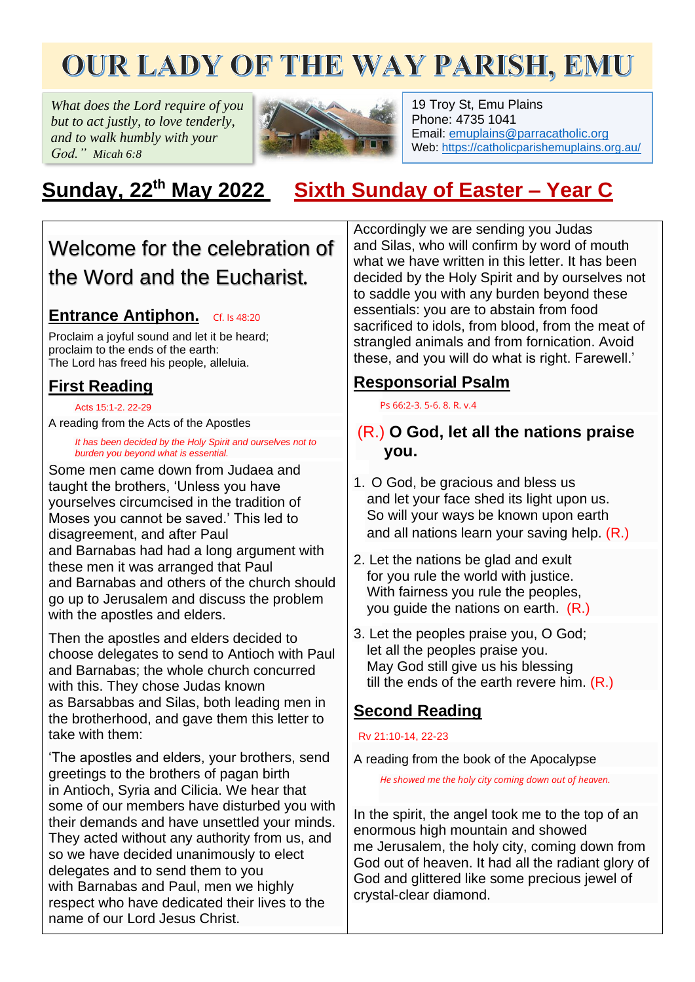# OUR LADY OF THE WAY PARISH, EMU

*What does the Lord require of you but to act justly, to love tenderly, and to walk humbly with your God." Micah 6:8*



19 Troy St, Emu Plains Phone: 4735 1041 Email: [emuplains@parracatholic.org](mailto:emuplains@parracatholic.org) Web:<https://catholicparishemuplains.org.au/>

# **Sunday, 22th May 2022 Sixth Sunday of Easter – Year C**

# Welcome for the celebration of the Word and the Eucharist*.*

### **Entrance Antiphon.** Cf. Is 48:20

Proclaim a joyful sound and let it be heard; proclaim to the ends of the earth: The Lord has freed his people, alleluia.

### **First Reading**

#### [Acts 15:1-2. 22-29](https://liturgyhelp.com/ritual/lectionary/LectionaryList%7Cact#act015)

A reading from the Acts of the Apostles

#### *It has been decided by the Holy Spirit and ourselves not to burden you beyond what is essential.*

Some men came down from Judaea and taught the brothers, 'Unless you have yourselves circumcised in the tradition of Moses you cannot be saved.' This led to disagreement, and after Paul and Barnabas had had a long argument with these men it was arranged that Paul and Barnabas and others of the church should go up to Jerusalem and discuss the problem with the apostles and elders.

Then the apostles and elders decided to choose delegates to send to Antioch with Paul and Barnabas; the whole church concurred with this. They chose Judas known as Barsabbas and Silas, both leading men in the brotherhood, and gave them this letter to take with them:

'The apostles and elders, your brothers, send greetings to the brothers of pagan birth in Antioch, Syria and Cilicia. We hear that some of our members have disturbed you with their demands and have unsettled your minds. They acted without any authority from us, and so we have decided unanimously to elect delegates and to send them to you with Barnabas and Paul, men we highly respect who have dedicated their lives to the name of our Lord Jesus Christ.

Accordingly we are sending you Judas and Silas, who will confirm by word of mouth what we have written in this letter. It has been decided by the Holy Spirit and by ourselves not to saddle you with any burden beyond these essentials: you are to abstain from food sacrificed to idols, from blood, from the meat of strangled animals and from fornication. Avoid these, and you will do what is right. Farewell.'

## **Responsorial Psalm**

#### [Ps 66:2-3. 5-6. 8. R. v.4](https://liturgyhelp.com/ritual/lectionary/LectionaryListPsalm%7Cpsm)

- (R.) **O God, let all the nations praise you.**
- 1. O God, be gracious and bless us and let your face shed its light upon us. So will your ways be known upon earth and all nations learn your saving help. (R.)
- 2. Let the nations be glad and exult for you rule the world with justice. With fairness you rule the peoples, you guide the nations on earth. (R.)
- 3. Let the peoples praise you, O God; let all the peoples praise you. May God still give us his blessing till the ends of the earth revere him. (R.)

### **Second Reading**

### Rv 21:10-14, 22-23

A reading from the book of the Apocalypse

*He showed me the holy city coming down out of heaven.*

In the spirit, the angel took me to the top of an enormous high mountain and showed me Jerusalem, the holy city, coming down from God out of heaven. It had all the radiant glory of God and glittered like some precious jewel of crystal-clear diamond.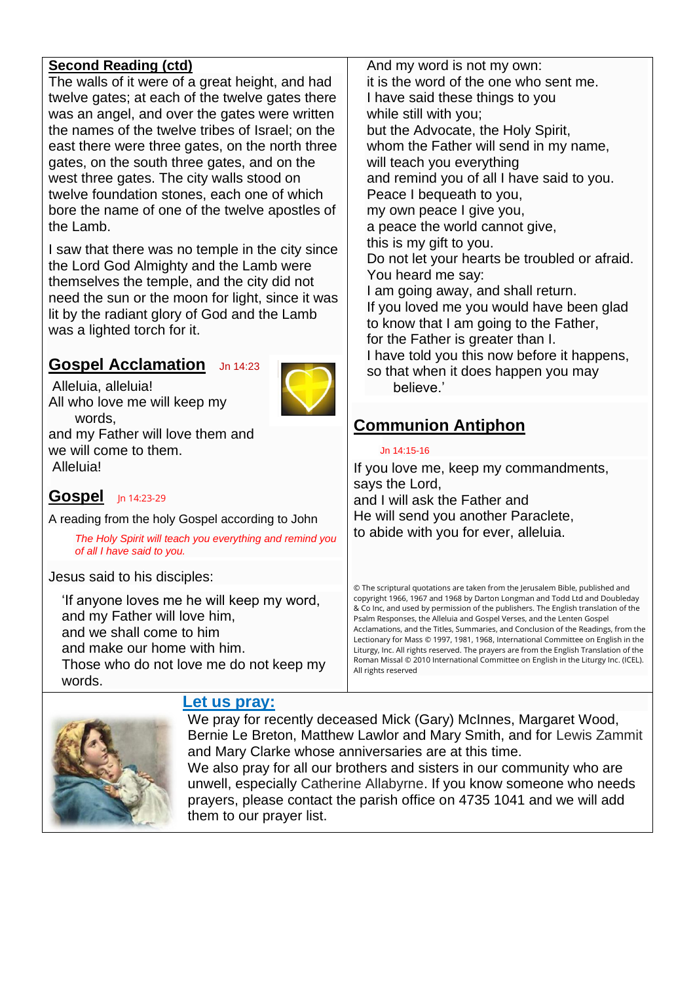### **Second Reading (ctd)**

The walls of it were of a great height, and had twelve gates; at each of the twelve gates there was an angel, and over the gates were written the names of the twelve tribes of Israel; on the east there were three gates, on the north three gates, on the south three gates, and on the west three gates. The city walls stood on twelve foundation stones, each one of which bore the name of one of the twelve apostles of the Lamb.

I saw that there was no temple in the city since the Lord God Almighty and the Lamb were themselves the temple, and the city did not need the sun or the moon for light, since it was lit by the radiant glory of God and the Lamb was a lighted torch for it.

### **Gospel Acclamation** Jn 14:23



All who love me will keep my words, and my Father will love them and we will come to them. Alleluia!

### **Gospel** [Jn 14:23-29](https://liturgyhelp.com/ritual/lectionary/LectionaryList%7Cjhn#jhn014)

Alleluia, alleluia!

A reading from the holy Gospel according to John

*The Holy Spirit will teach you everything and remind you of all I have said to you.*

Jesus said to his disciples:

'If anyone loves me he will keep my word, and my Father will love him, and we shall come to him and make our home with him. Those who do not love me do not keep my words.



### **Let us pray:**

We pray for recently deceased Mick (Gary) McInnes, Margaret Wood, Bernie Le Breton, Matthew Lawlor and Mary Smith, and for Lewis Zammit and Mary Clarke whose anniversaries are at this time. We also pray for all our brothers and sisters in our community who are unwell, especially Catherine Allabyrne. If you know someone who needs prayers, please contact the parish office on 4735 1041 and we will add them to our prayer list.

And my word is not my own: it is the word of the one who sent me. I have said these things to you while still with you; but the Advocate, the Holy Spirit, whom the Father will send in my name, will teach you everything and remind you of all I have said to you. Peace I bequeath to you, my own peace I give you, a peace the world cannot give, this is my gift to you. Do not let your hearts be troubled or afraid. You heard me say: I am going away, and shall return. If you loved me you would have been glad to know that I am going to the Father, for the Father is greater than I. I have told you this now before it happens, so that when it does happen you may believe.'

### **Communion Antiphon**

#### Jn 14:15-16

If you love me, keep my commandments, says the Lord, and I will ask the Father and He will send you another Paraclete, to abide with you for ever, alleluia.

© The scriptural quotations are taken from the Jerusalem Bible, published and copyright 1966, 1967 and 1968 by Darton Longman and Todd Ltd and Doubleday & Co Inc, and used by permission of the publishers. The English translation of the Psalm Responses, the Alleluia and Gospel Verses, and the Lenten Gospel Acclamations, and the Titles, Summaries, and Conclusion of the Readings, from the Lectionary for Mass © 1997, 1981, 1968, International Committee on English in the Liturgy, Inc. All rights reserved. The prayers are from the English Translation of the Roman Missal © 2010 International Committee on English in the Liturgy Inc. (ICEL). All rights reserved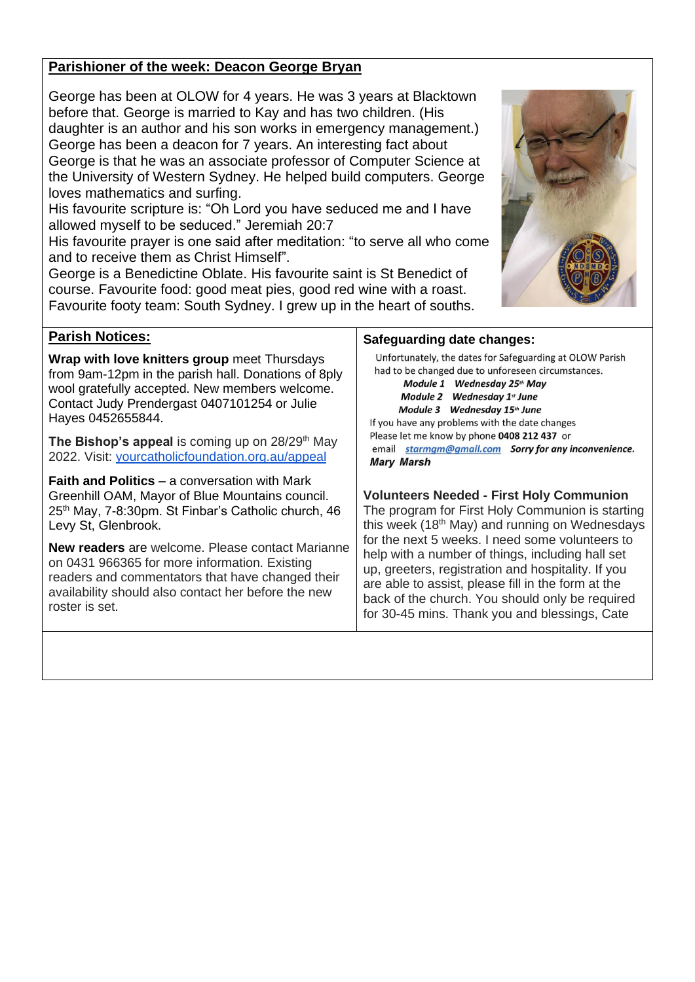### **Parishioner of the week: Deacon George Bryan**

George has been at OLOW for 4 years. He was 3 years at Blacktown before that. George is married to Kay and has two children. (His daughter is an author and his son works in emergency management.) George has been a deacon for 7 years. An interesting fact about George is that he was an associate professor of Computer Science at the University of Western Sydney. He helped build computers. George loves mathematics and surfing.

His favourite scripture is: "Oh Lord you have seduced me and I have allowed myself to be seduced." Jeremiah 20:7

His favourite prayer is one said after meditation: "to serve all who come and to receive them as Christ Himself".

George is a Benedictine Oblate. His favourite saint is St Benedict of course. Favourite food: good meat pies, good red wine with a roast. Favourite footy team: South Sydney. I grew up in the heart of souths.



#### **Parish Notices:**

**Wrap with love knitters group** meet Thursdays from 9am-12pm in the parish hall. Donations of 8ply wool gratefully accepted. New members welcome. Contact Judy Prendergast 0407101254 or Julie Hayes 0452655844.

The Bishop's appeal is coming up on 28/29<sup>th</sup> May 2022. Visit: [yourcatholicfoundation.org.au/appeal](http://yourcatholicfoundation.org.au/appeal)

**Faith and Politics** – a conversation with Mark Greenhill OAM, Mayor of Blue Mountains council. 25<sup>th</sup> May, 7-8:30pm. St Finbar's Catholic church, 46 Levy St, Glenbrook.

**New readers** are welcome. Please contact Marianne on 0431 966365 for more information. Existing readers and commentators that have changed their availability should also contact her before the new roster is set.

#### **Safeguarding date changes:**

Unfortunately, the dates for Safeguarding at OLOW Parish had to be changed due to unforeseen circumstances. Module 1 Wednesday 25th May Module 2 Wednesday 1st June Module 3 Wednesday 15th June If you have any problems with the date changes Please let me know by phone 0408 212 437 or email starmam@gmail.com Sorry for any inconvenience. **Mary Marsh** 

#### **Volunteers Needed - First Holy Communion**

The program for First Holy Communion is starting this week (18<sup>th</sup> May) and running on Wednesdays for the next 5 weeks. I need some volunteers to help with a number of things, including hall set up, greeters, registration and hospitality. If you are able to assist, please fill in the form at the back of the church. You should only be required for 30-45 mins. Thank you and blessings, Cate